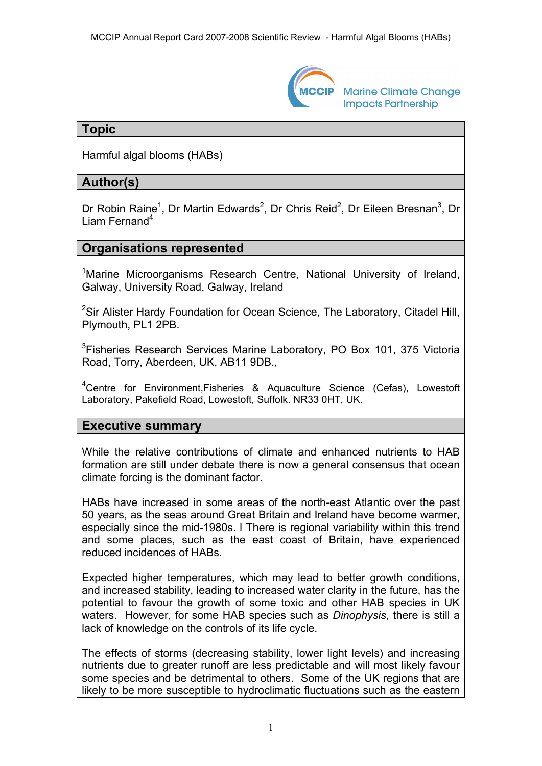

**Marine Climate Change Impacts Partnership** 

## **Topic**

Harmful algal blooms (HABs)

# **Author(s)**

Dr Robin Raine<sup>1</sup>, Dr Martin Edwards<sup>2</sup>, Dr Chris Reid<sup>2</sup>, Dr Eileen Bresnan<sup>3</sup>, Dr Liam Fernand $4$ 

## **Organisations represented**

<sup>1</sup>Marine Microorganisms Research Centre, National University of Ireland, Galway, University Road, Galway, Ireland

<sup>2</sup>Sir Alister Hardy Foundation for Ocean Science, The Laboratory, Citadel Hill, Plymouth, PL1 2PB.

<sup>3</sup>Fisheries Research Services Marine Laboratory, PO Box 101, 375 Victoria Road, Torry, Aberdeen, UK, AB11 9DB.,

<sup>4</sup>Centre for Environment, Fisheries & Aquaculture Science (Cefas), Lowestoft Laboratory, Pakefield Road, Lowestoft, Suffolk. NR33 0HT, UK.

# **Executive summary**

While the relative contributions of climate and enhanced nutrients to HAB formation are still under debate there is now a general consensus that ocean climate forcing is the dominant factor.

HABs have increased in some areas of the north-east Atlantic over the past 50 years, as the seas around Great Britain and Ireland have become warmer, especially since the mid-1980s. l There is regional variability within this trend and some places, such as the east coast of Britain, have experienced reduced incidences of HABs.

Expected higher temperatures, which may lead to better growth conditions, and increased stability, leading to increased water clarity in the future, has the potential to favour the growth of some toxic and other HAB species in UK waters. However, for some HAB species such as *Dinophysis*, there is still a lack of knowledge on the controls of its life cycle.

The effects of storms (decreasing stability, lower light levels) and increasing nutrients due to greater runoff are less predictable and will most likely favour some species and be detrimental to others. Some of the UK regions that are likely to be more susceptible to hydroclimatic fluctuations such as the eastern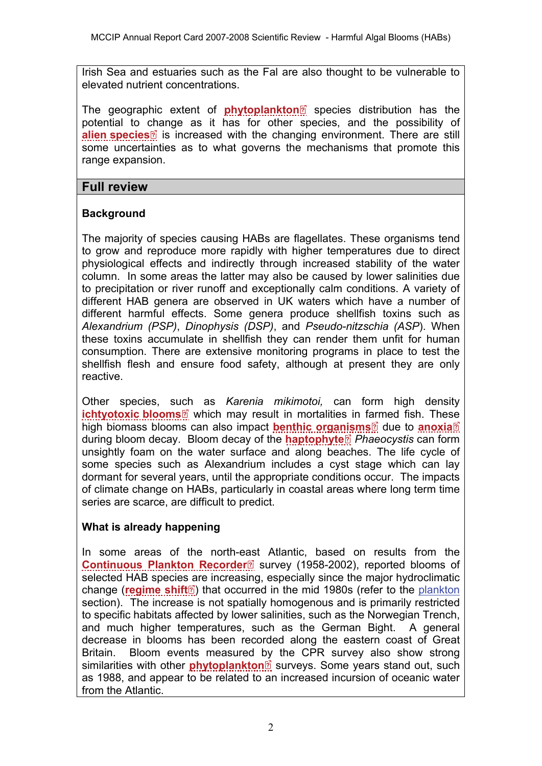Irish Sea and estuaries such as the Fal are also thought to be vulnerable to elevated nutrient concentrations.

Thegeographic extent of **[phytoplankton](http://www.mccip.org.uk/arc/2007/glossary.htm#Phytoplankton)** species distribution has the potential to [cha](http://www.mccip.org.uk/arc/2007/glossary.htm)nge as it has for other species, and the possibility of **[alien species](http://www.mccip.org.uk/arc/2007/glossary.htm#Alien)** is increased with the changing environment. There are still some uncertainties as to what governs the mechanisms that promote this range expansion.

## **Full review**

## **Background**

The majority of species causing HABs are flagellates. These organisms tend to grow and reproduce more rapidly with higher temperatures due to direct physiological effects and indirectly through increased stability of the water column. In some areas the latter may also be caused by lower salinities due to precipitation or river runoff and exceptionally calm conditions. A variety of different HAB genera are observed in UK waters which have a number of different harmful effects. Some genera produce shellfish toxins such as *Alexandrium (PSP)*, *Dinophysis (DSP)*, and *Pseudo-nitzschia (ASP*). When these toxins accumulate in shellfish they can render them unfit for human consumption. There are extensive monitoring programs in place to test the shellfish flesh and ensure food safety, although at present they are only reactive.

Other species, s[uch](http://www.mccip.org.uk/arc/2007/glossary.htm) as *Karenia mikimotoi,* can form high density **[ichtyotoxic blooms](http://www.mccip.org.uk/arc/2007/glossary.htm#Ichtyotoxic)** which may result in mortalities in f[arm](http://www.mccip.org.uk/arc/2007/glossary.htm)ed fish. These high biomass blooms can also impact **[benthic organisms](http://www.mccip.org.uk/arc/2007/glossary.htm#Benthic_organisms)** due to **[anoxia](http://www.mccip.org.uk/arc/2007/glossary.htm#Anoxia)** during bloom decay. Bloom decay of the **[haptophyte](http://www.mccip.org.uk/arc/2007/glossary.htm#Haptophyte)** *Phaeocystis* can form unsightly foam on the water surface and along beaches. The life cycle of some species such as Alexandrium includes a cyst stage which can lay dormant for several years, until the appropriate conditions occur. The impacts of climate change on HABs, particularly in coastal areas where long term time series are scarce, are difficult to predict.

## **What is already happening**

In some areas of the north-[eas](http://www.mccip.org.uk/arc/2007/glossary.htm)t Atlantic, based on results from the **[Continuous Plankton Recorder](http://www.mccip.org.uk/arc/2007/glossary.htm#CPR)** survey (1958-2002), reported blooms of selected HAB specie[s a](http://www.mccip.org.uk/arc/2007/glossary.htm)re increasing, especially since the major hydroclimatic change (**[regime shift](http://www.mccip.org.uk/arc/2007/glossary.htm#Regime_shifts)**<sup>o</sup>) that occurred in the mid 1980s (refer to the [plankton](http://www.mccip.org.uk/arc/2007/plankton.htm) section). The increase is not spatially homogenous and is primarily restricted to specific habitats affected by lower salinities, such as the Norwegian Trench, and much higher temperatures, such as the German Bight. A general decrease in blooms has been recorded along the eastern coast of Great Britain. Bloom events measured [by](http://www.mccip.org.uk/arc/2007/glossary.htm) the CPR survey also show strong similarities with other **[phytoplankton](http://www.mccip.org.uk/arc/2007/glossary.htm#Phytoplankton)**<sup>2</sup> surveys. Some years stand out, such as 1988, and appear to be related to an increased incursion of oceanic water from the Atlantic.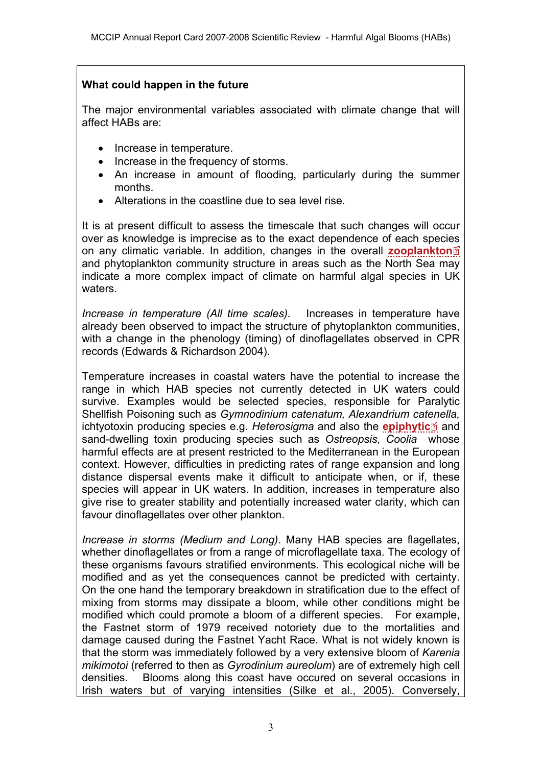## **What could happen in the future**

The major environmental variables associated with climate change that will affect HABs are:

- Increase in temperature.
- Increase in the frequency of storms.
- An increase in amount of flooding, particularly during the summer months.
- Alterations in the coastline due to sea level rise.

It is at present difficult to assess the timescale that such changes will occur over as knowledge is imprecise as to the exact dependence of each speci[es](http://www.mccip.org.uk/arc/2007/glossary.htm)  on any climatic variable. In addition, changes in the overall **[zooplankton](http://www.mccip.org.uk/arc/2007/glossary.htm#Zooplankton)** and phytoplankton community structure in areas such as the North Sea may indicate a more complex impact of climate on harmful algal species in UK waters.

*Increase in temperature (All time scales).* Increases in temperature have already been observed to impact the structure of phytoplankton communities, with a change in the phenology (timing) of dinoflagellates observed in CPR records (Edwards & Richardson 2004).

Temperature increases in coastal waters have the potential to increase the range in which HAB species not currently detected in UK waters could survive. Examples would be selected species, responsible for Paralytic Shellfish Poisoning such as *Gymnodinium catenatum, Alexandrium cat[ene](http://www.mccip.org.uk/arc/2007/glossary.htm)lla,* **ichtyotoxin producing species e.g.** *Heterosigma* **and also the <b>[epiphytic](http://www.mccip.org.uk/arc/2007/glossary.htm#Epiphytic)** and sand-dwelling toxin producing species such as *Ostreopsis, Coolia* whose harmful effects are at present restricted to the Mediterranean in the European context. However, difficulties in predicting rates of range expansion and long distance dispersal events make it difficult to anticipate when, or if, these species will appear in UK waters. In addition, increases in temperature also give rise to greater stability and potentially increased water clarity, which can favour dinoflagellates over other plankton.

*Increase in storms (Medium and Long)*. Many HAB species are flagellates, whether dinoflagellates or from a range of microflagellate taxa. The ecology of these organisms favours stratified environments. This ecological niche will be modified and as yet the consequences cannot be predicted with certainty. On the one hand the temporary breakdown in stratification due to the effect of mixing from storms may dissipate a bloom, while other conditions might be modified which could promote a bloom of a different species. For example, the Fastnet storm of 1979 received notoriety due to the mortalities and damage caused during the Fastnet Yacht Race. What is not widely known is that the storm was immediately followed by a very extensive bloom of *Karenia mikimotoi* (referred to then as *Gyrodinium aureolum*) are of extremely high cell densities. Blooms along this coast have occured on several occasions in Irish waters but of varying intensities (Silke et al., 2005). Conversely,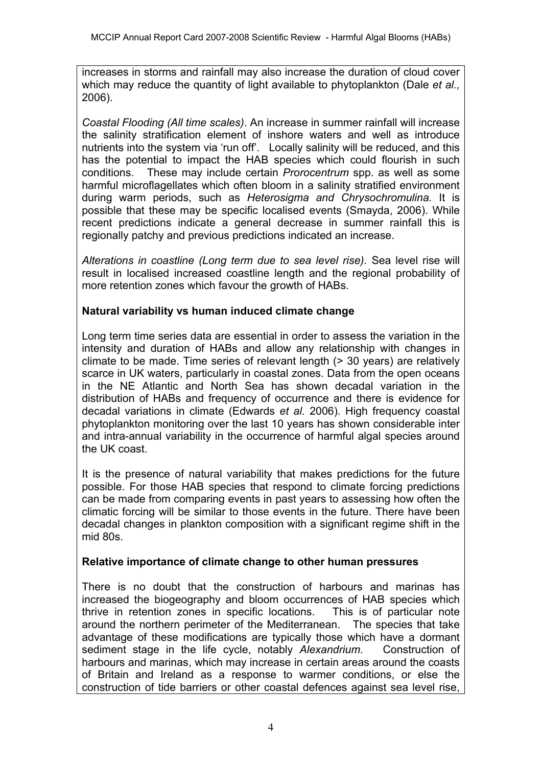increases in storms and rainfall may also increase the duration of cloud cover which may reduce the quantity of light available to phytoplankton (Dale *et al.,* 2006).

*Coastal Flooding (All time scales)*. An increase in summer rainfall will increase the salinity stratification element of inshore waters and well as introduce nutrients into the system via 'run off'. Locally salinity will be reduced, and this has the potential to impact the HAB species which could flourish in such conditions. These may include certain *Prorocentrum* spp. as well as some harmful microflagellates which often bloom in a salinity stratified environment during warm periods, such as *Heterosigma and Chrysochromulina.* It is possible that these may be specific localised events (Smayda, 2006). While recent predictions indicate a general decrease in summer rainfall this is regionally patchy and previous predictions indicated an increase.

*Alterations in coastline (Long term due to sea level rise).* Sea level rise will result in localised increased coastline length and the regional probability of more retention zones which favour the growth of HABs.

### **Natural variability vs human induced climate change**

Long term time series data are essential in order to assess the variation in the intensity and duration of HABs and allow any relationship with changes in climate to be made. Time series of relevant length (> 30 years) are relatively scarce in UK waters, particularly in coastal zones. Data from the open oceans in the NE Atlantic and North Sea has shown decadal variation in the distribution of HABs and frequency of occurrence and there is evidence for decadal variations in climate (Edwards *et al.* 2006). High frequency coastal phytoplankton monitoring over the last 10 years has shown considerable inter and intra-annual variability in the occurrence of harmful algal species around the UK coast.

It is the presence of natural variability that makes predictions for the future possible. For those HAB species that respond to climate forcing predictions can be made from comparing events in past years to assessing how often the climatic forcing will be similar to those events in the future. There have been decadal changes in plankton composition with a significant regime shift in the mid 80s.

#### **Relative importance of climate change to other human pressures**

There is no doubt that the construction of harbours and marinas has increased the biogeography and bloom occurrences of HAB species which thrive in retention zones in specific locations. This is of particular note around the northern perimeter of the Mediterranean. The species that take advantage of these modifications are typically those which have a dormant sediment stage in the life cycle, notably *Alexandrium.* Construction of harbours and marinas, which may increase in certain areas around the coasts of Britain and Ireland as a response to warmer conditions, or else the construction of tide barriers or other coastal defences against sea level rise,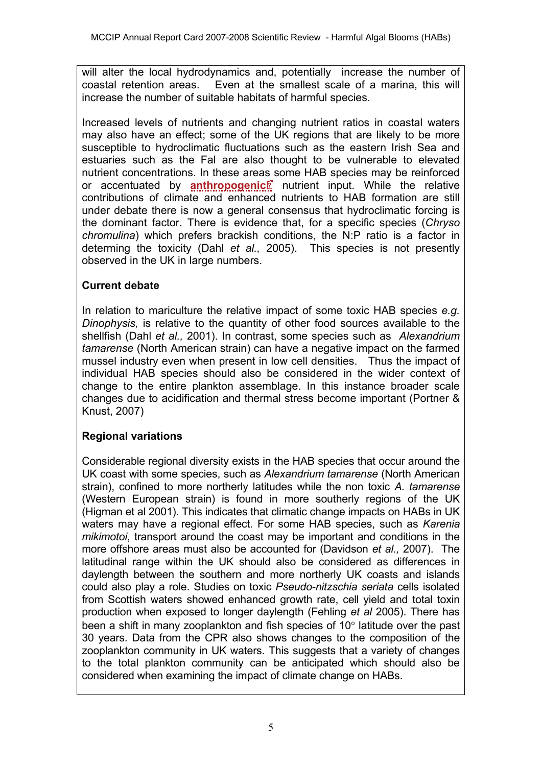will alter the local hydrodynamics and, potentially increase the number of coastal retention areas. Even at the smallest scale of a marina, this will increase the number of suitable habitats of harmful species.

Increased levels of nutrients and changing nutrient ratios in coastal waters may also have an effect; some of the UK regions that are likely to be more susceptible to hydroclimatic fluctuations such as the eastern Irish Sea and estuaries such as the Fal are also thought to be vulnerable to elevated nutrient concentrations. In these are[as s](http://www.mccip.org.uk/arc/2007/glossary.htm)ome HAB species may be reinforced or accentuated by **[anthropogenic](http://www.mccip.org.uk/arc/2007/glossary.htm#Anthropogenic)** nutrient input. While the relative contributions of climate and enhanced nutrients to HAB formation are still under debate there is now a general consensus that hydroclimatic forcing is the dominant factor. There is evidence that, for a specific species (*Chryso chromulina*) which prefers brackish conditions, the N:P ratio is a factor in determing the toxicity (Dahl *et al.,* 2005). This species is not presently observed in the UK in large numbers.

## **Current debate**

In relation to mariculture the relative impact of some toxic HAB species *e.g. Dinophysis,* is relative to the quantity of other food sources available to the shellfish (Dahl *et al.,* 2001). In contrast, some species such as *Alexandrium tamarense* (North American strain) can have a negative impact on the farmed mussel industry even when present in low cell densities. Thus the impact of individual HAB species should also be considered in the wider context of change to the entire plankton assemblage. In this instance broader scale changes due to acidification and thermal stress become important (Portner & Knust, 2007)

## **Regional variations**

Considerable regional diversity exists in the HAB species that occur around the UK coast with some species, such as *Alexandrium tamarense* (North American strain), confined to more northerly latitudes while the non toxic *A. tamarense*  (Western European strain) is found in more southerly regions of the UK (Higman et al 2001). This indicates that climatic change impacts on HABs in UK waters may have a regional effect. For some HAB species, such as *Karenia mikimotoi*, transport around the coast may be important and conditions in the more offshore areas must also be accounted for (Davidson *et al.,* 2007). The latitudinal range within the UK should also be considered as differences in daylength between the southern and more northerly UK coasts and islands could also play a role. Studies on toxic *Pseudo-nitzschia seriata* cells isolated from Scottish waters showed enhanced growth rate, cell yield and total toxin production when exposed to longer daylength (Fehling *et al* 2005). There has been a shift in many zooplankton and fish species of 10° latitude over the past 30 years. Data from the CPR also shows changes to the composition of the zooplankton community in UK waters. This suggests that a variety of changes to the total plankton community can be anticipated which should also be considered when examining the impact of climate change on HABs.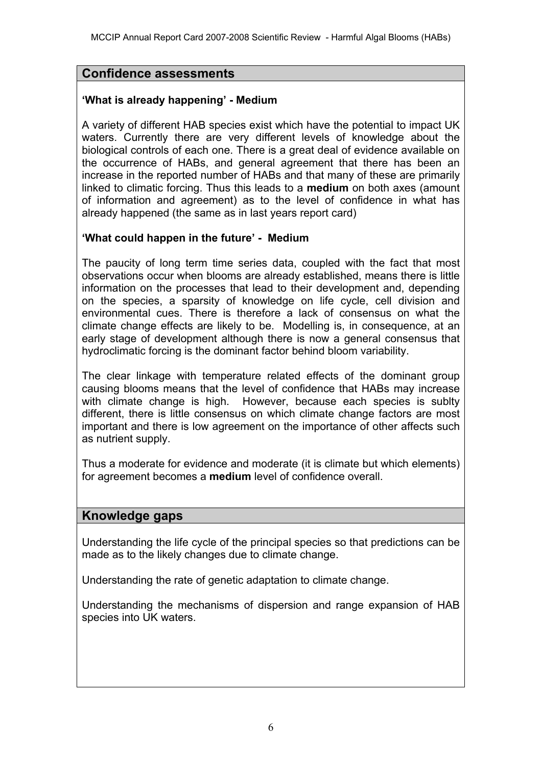## **Confidence assessments**

### **'What is already happening' - Medium**

A variety of different HAB species exist which have the potential to impact UK waters. Currently there are very different levels of knowledge about the biological controls of each one. There is a great deal of evidence available on the occurrence of HABs, and general agreement that there has been an increase in the reported number of HABs and that many of these are primarily linked to climatic forcing. Thus this leads to a **medium** on both axes (amount of information and agreement) as to the level of confidence in what has already happened (the same as in last years report card)

### **'What could happen in the future' - Medium**

The paucity of long term time series data, coupled with the fact that most observations occur when blooms are already established, means there is little information on the processes that lead to their development and, depending on the species, a sparsity of knowledge on life cycle, cell division and environmental cues. There is therefore a lack of consensus on what the climate change effects are likely to be. Modelling is, in consequence, at an early stage of development although there is now a general consensus that hydroclimatic forcing is the dominant factor behind bloom variability.

The clear linkage with temperature related effects of the dominant group causing blooms means that the level of confidence that HABs may increase with climate change is high. However, because each species is sublty different, there is little consensus on which climate change factors are most important and there is low agreement on the importance of other affects such as nutrient supply.

Thus a moderate for evidence and moderate (it is climate but which elements) for agreement becomes a **medium** level of confidence overall.

## **Knowledge gaps**

Understanding the life cycle of the principal species so that predictions can be made as to the likely changes due to climate change.

Understanding the rate of genetic adaptation to climate change.

Understanding the mechanisms of dispersion and range expansion of HAB species into UK waters.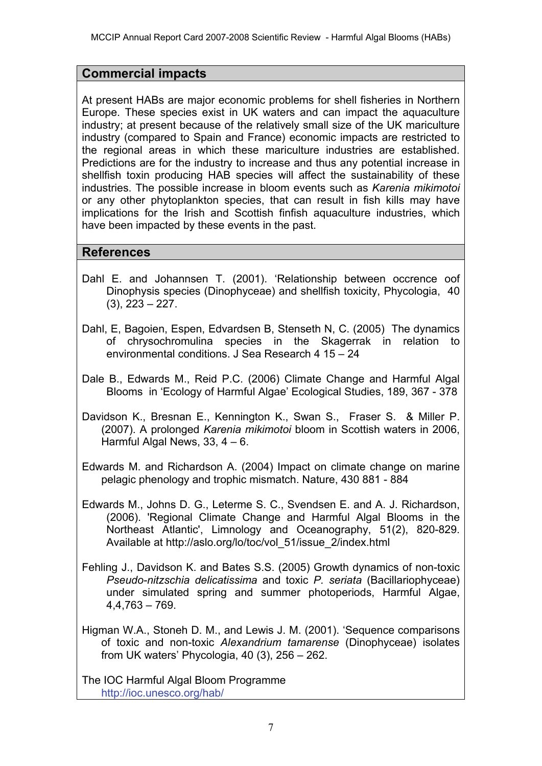## **Commercial impacts**

At present HABs are major economic problems for shell fisheries in Northern Europe. These species exist in UK waters and can impact the aquaculture industry; at present because of the relatively small size of the UK mariculture industry (compared to Spain and France) economic impacts are restricted to the regional areas in which these mariculture industries are established. Predictions are for the industry to increase and thus any potential increase in shellfish toxin producing HAB species will affect the sustainability of these industries. The possible increase in bloom events such as *Karenia mikimotoi* or any other phytoplankton species, that can result in fish kills may have implications for the Irish and Scottish finfish aquaculture industries, which have been impacted by these events in the past.

## **References**

- Dahl E. and Johannsen T. (2001). 'Relationship between occrence oof Dinophysis species (Dinophyceae) and shellfish toxicity, Phycologia, 40 (3), 223 – 227.
- Dahl, E, Bagoien, Espen, Edvardsen B, Stenseth N, C. (2005) The dynamics of chrysochromulina species in the Skagerrak in relation to environmental conditions. J Sea Research 4 15 – 24
- Dale B., Edwards M., Reid P.C. (2006) Climate Change and Harmful Algal Blooms in 'Ecology of Harmful Algae' Ecological Studies, 189, 367 - 378
- Davidson K., Bresnan E., Kennington K., Swan S., Fraser S. & Miller P. (2007). A prolonged *Karenia mikimotoi* bloom in Scottish waters in 2006, Harmful Algal News,  $33, 4 - 6$ .
- Edwards M. and Richardson A. (2004) Impact on climate change on marine pelagic phenology and trophic mismatch. Nature, 430 881 - 884
- Edwards M., Johns D. G., Leterme S. C., Svendsen E. and A. J. Richardson, (2006). 'Regional Climate Change and Harmful Algal Blooms in the Northeast Atlantic', Limnology and Oceanography, 51(2), 820-829. Available at [http://aslo.org/lo/toc/vol\\_51/issue\\_2/index.html](http://aslo.org/lo/toc/vol_51/issue_2/index.html)
- Fehling J., Davidson K. and Bates S.S. (2005) Growth dynamics of non-toxic *Pseudo-nitzschia delicatissima* and toxic *P. seriata* (Bacillariophyceae) under simulated spring and summer photoperiods, Harmful Algae, 4,4,763 – 769.
- Higman W.A., Stoneh D. M., and Lewis J. M. (2001). 'Sequence comparisons of toxic and non-toxic *Alexandrium tamarense* (Dinophyceae) isolates from UK waters' Phycologia, 40 (3), 256 – 262.

The IOC Harmful Algal Bloom Programme <http://ioc.unesco.org/hab/>